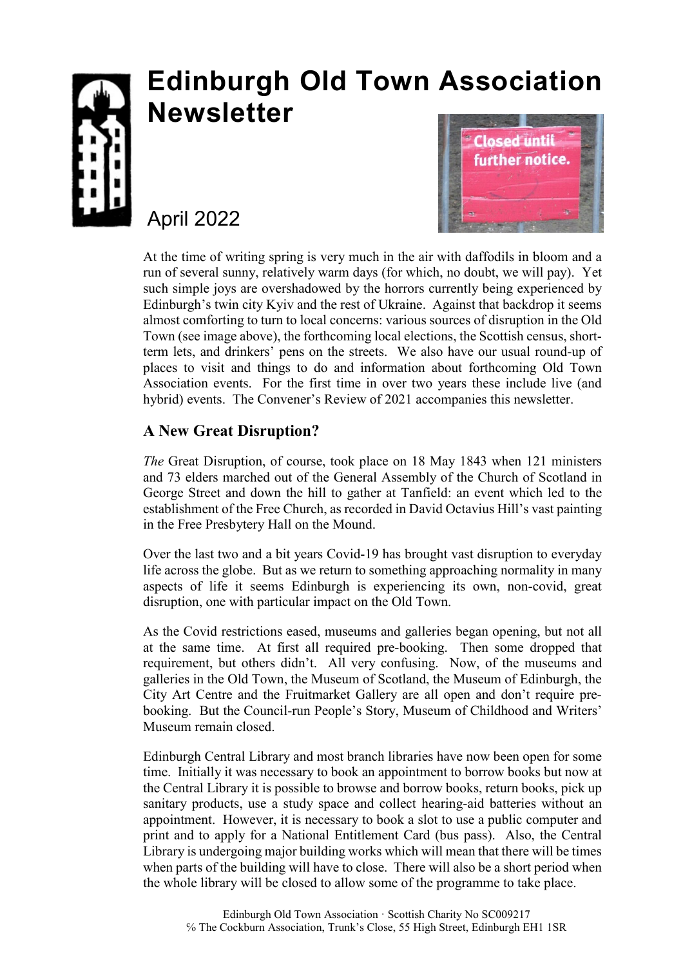

# **Edinburgh Old Town Association Newsletter**

# April 2022



At the time of writing spring is very much in the air with daffodils in bloom and a run of several sunny, relatively warm days (for which, no doubt, we will pay). Yet such simple joys are overshadowed by the horrors currently being experienced by Edinburgh's twin city Kyiv and the rest of Ukraine. Against that backdrop it seems almost comforting to turn to local concerns: various sources of disruption in the Old Town (see image above), the forthcoming local elections, the Scottish census, shortterm lets, and drinkers' pens on the streets. We also have our usual round-up of places to visit and things to do and information about forthcoming Old Town Association events. For the first time in over two years these include live (and hybrid) events. The Convener's Review of 2021 accompanies this newsletter.

# **A New Great Disruption?**

*The* Great Disruption, of course, took place on 18 May 1843 when 121 ministers and 73 elders marched out of the General Assembly of the Church of Scotland in George Street and down the hill to gather at Tanfield: an event which led to the establishment of the Free Church, as recorded in David Octavius Hill's vast painting in the Free Presbytery Hall on the Mound.

Over the last two and a bit years Covid-19 has brought vast disruption to everyday life across the globe. But as we return to something approaching normality in many aspects of life it seems Edinburgh is experiencing its own, non-covid, great disruption, one with particular impact on the Old Town.

As the Covid restrictions eased, museums and galleries began opening, but not all at the same time. At first all required pre-booking. Then some dropped that requirement, but others didn't. All very confusing. Now, of the museums and galleries in the Old Town, the Museum of Scotland, the Museum of Edinburgh, the City Art Centre and the Fruitmarket Gallery are all open and don't require prebooking. But the Council-run People's Story, Museum of Childhood and Writers' Museum remain closed.

Edinburgh Central Library and most branch libraries have now been open for some time. Initially it was necessary to book an appointment to borrow books but now at the Central Library it is possible to browse and borrow books, return books, pick up sanitary products, use a study space and collect hearing-aid batteries without an appointment. However, it is necessary to book a slot to use a public computer and print and to apply for a National Entitlement Card (bus pass). Also, the Central Library is undergoing major building works which will mean that there will be times when parts of the building will have to close. There will also be a short period when the whole library will be closed to allow some of the programme to take place.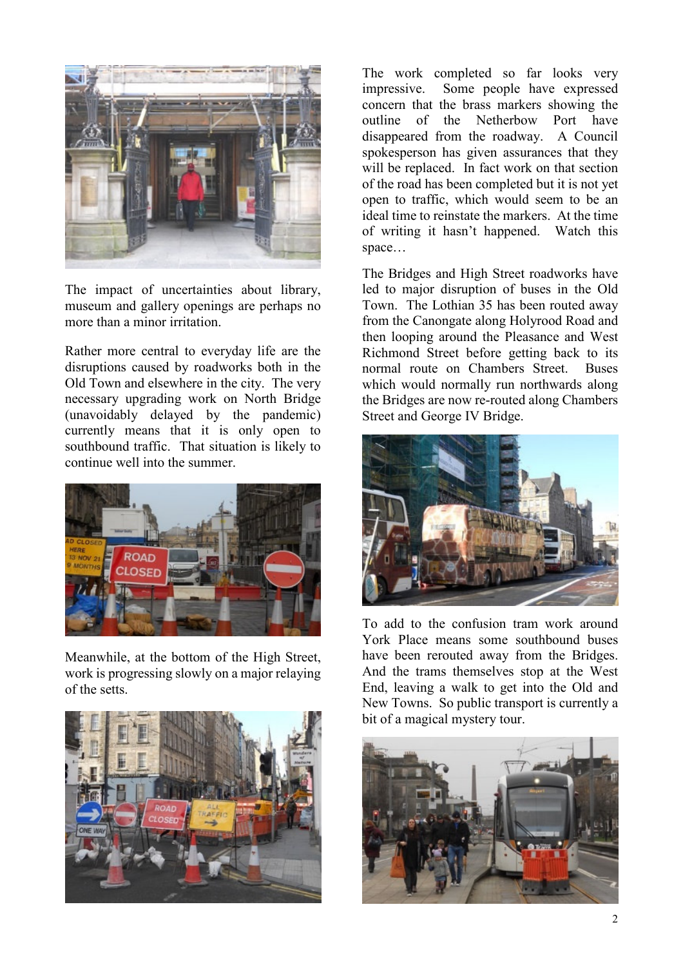

The impact of uncertainties about library, museum and gallery openings are perhaps no more than a minor irritation.

Rather more central to everyday life are the disruptions caused by roadworks both in the Old Town and elsewhere in the city. The very necessary upgrading work on North Bridge (unavoidably delayed by the pandemic) currently means that it is only open to southbound traffic. That situation is likely to continue well into the summer.



Meanwhile, at the bottom of the High Street, work is progressing slowly on a major relaying of the setts.



The work completed so far looks very impressive. Some people have expressed concern that the brass markers showing the outline of the Netherbow Port have disappeared from the roadway. A Council spokesperson has given assurances that they will be replaced. In fact work on that section of the road has been completed but it is not yet open to traffic, which would seem to be an ideal time to reinstate the markers. At the time of writing it hasn't happened. Watch this space…

The Bridges and High Street roadworks have led to major disruption of buses in the Old Town. The Lothian 35 has been routed away from the Canongate along Holyrood Road and then looping around the Pleasance and West Richmond Street before getting back to its normal route on Chambers Street. Buses which would normally run northwards along the Bridges are now re-routed along Chambers Street and George IV Bridge.



To add to the confusion tram work around York Place means some southbound buses have been rerouted away from the Bridges. And the trams themselves stop at the West End, leaving a walk to get into the Old and New Towns. So public transport is currently a bit of a magical mystery tour.

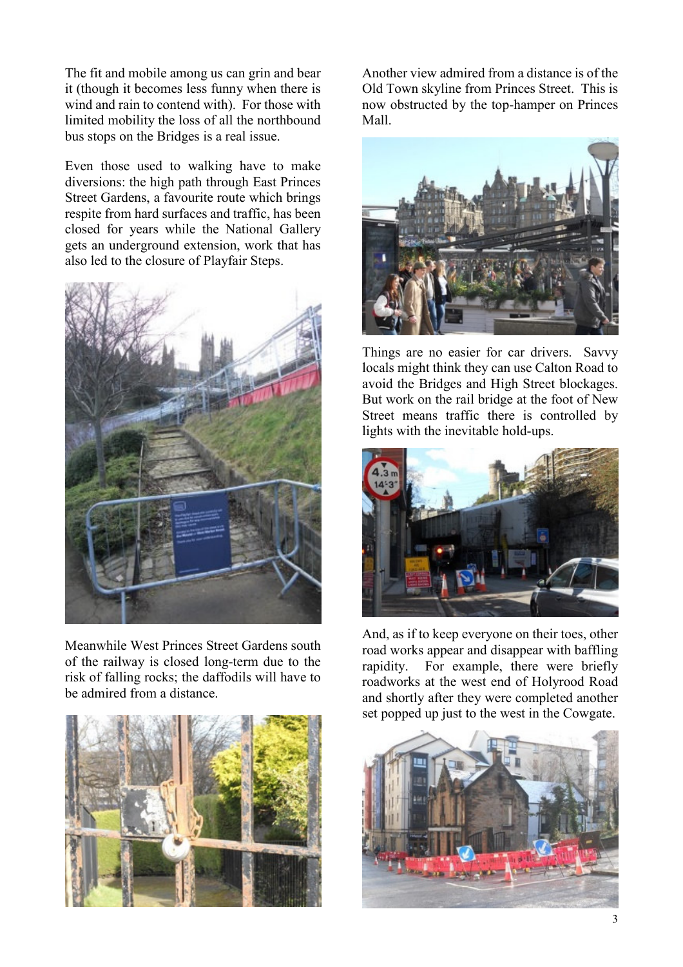The fit and mobile among us can grin and bear it (though it becomes less funny when there is wind and rain to contend with). For those with limited mobility the loss of all the northbound bus stops on the Bridges is a real issue.

Even those used to walking have to make diversions: the high path through East Princes Street Gardens, a favourite route which brings respite from hard surfaces and traffic, has been closed for years while the National Gallery gets an underground extension, work that has also led to the closure of Playfair Steps.



Meanwhile West Princes Street Gardens south of the railway is closed long-term due to the risk of falling rocks; the daffodils will have to be admired from a distance.



Another view admired from a distance is of the Old Town skyline from Princes Street. This is now obstructed by the top-hamper on Princes Mall.



Things are no easier for car drivers. Savvy locals might think they can use Calton Road to avoid the Bridges and High Street blockages. But work on the rail bridge at the foot of New Street means traffic there is controlled by lights with the inevitable hold-ups.



And, as if to keep everyone on their toes, other road works appear and disappear with baffling rapidity. For example, there were briefly roadworks at the west end of Holyrood Road and shortly after they were completed another set popped up just to the west in the Cowgate.

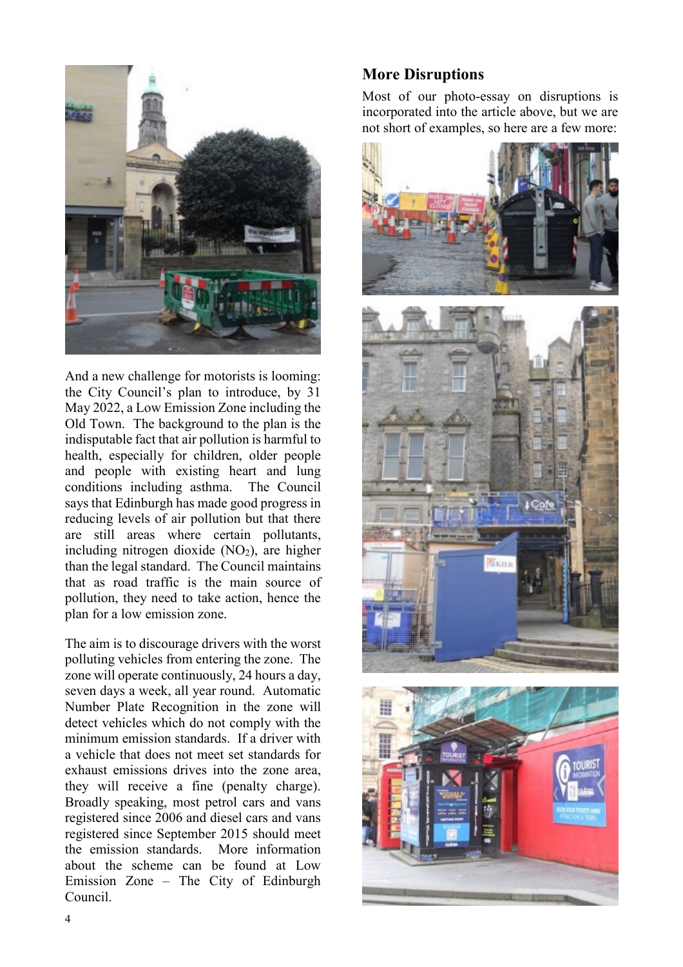

And a new challenge for motorists is looming: the City Council's plan to introduce, by 31 May 2022, a Low Emission Zone including the Old Town. The background to the plan is the indisputable fact that air pollution is harmful to health, especially for children, older people and people with existing heart and lung conditions including asthma. The Council says that Edinburgh has made good progress in reducing levels of air pollution but that there are still areas where certain pollutants, including nitrogen dioxide  $(NO<sub>2</sub>)$ , are higher than the legal standard. The Council maintains that as road traffic is the main source of pollution, they need to take action, hence the plan for a low emission zone.

The aim is to discourage drivers with the worst polluting vehicles from entering the zone. The zone will operate continuously, 24 hours a day, seven days a week, all year round. Automatic Number Plate Recognition in the zone will detect vehicles which do not comply with the minimum emission standards. If a driver with a vehicle that does not meet set standards for exhaust emissions drives into the zone area, they will receive a fine (penalty charge). Broadly speaking, most petrol cars and vans registered since 2006 and diesel cars and vans registered since September 2015 should meet the emission standards. More information about the scheme can be found at Low Emission Zone – The City of Edinburgh Council.

#### **More Disruptions**

Most of our photo-essay on disruptions is incorporated into the article above, but we are not short of examples, so here are a few more:



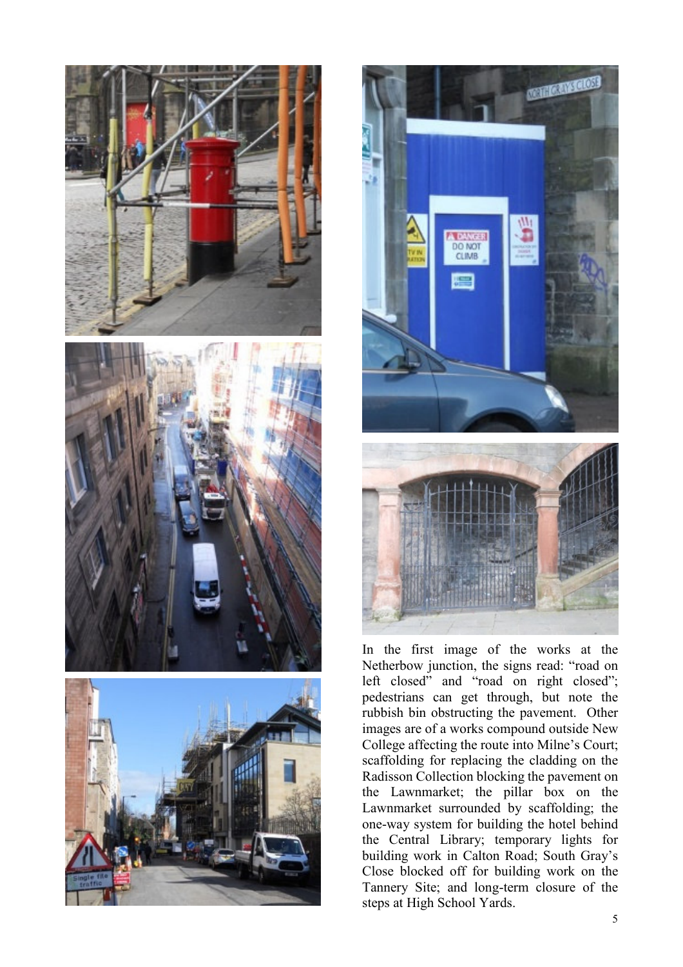



In the first image of the works at the Netherbow junction, the signs read: "road on left closed" and "road on right closed"; pedestrians can get through, but note the rubbish bin obstructing the pavement. Other images are of a works compound outside New College affecting the route into Milne's Court; scaffolding for replacing the cladding on the Radisson Collection blocking the pavement on the Lawnmarket; the pillar box on the Lawnmarket surrounded by scaffolding; the one-way system for building the hotel behind the Central Library; temporary lights for building work in Calton Road; South Gray's Close blocked off for building work on the Tannery Site; and long-term closure of the steps at High School Yards.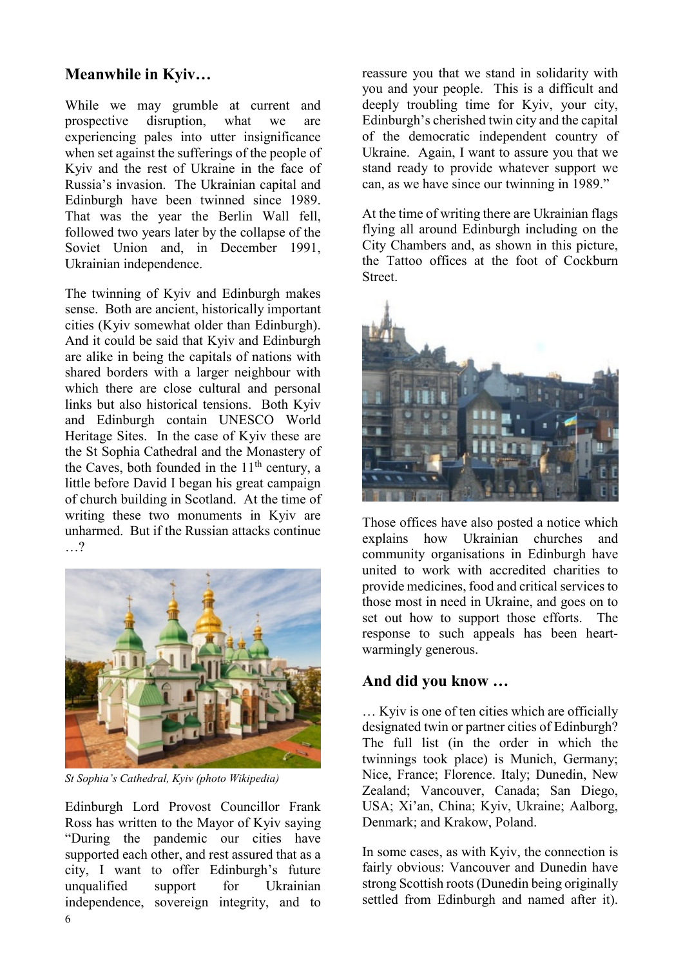## **Meanwhile in Kyiv…**

While we may grumble at current and<br>prospective disruption, what we are prospective disruption, what we are experiencing pales into utter insignificance when set against the sufferings of the people of Kyiv and the rest of Ukraine in the face of Russia's invasion. The Ukrainian capital and Edinburgh have been twinned since 1989. That was the year the Berlin Wall fell, followed two years later by the collapse of the Soviet Union and, in December 1991, Ukrainian independence.

The twinning of Kyiv and Edinburgh makes sense. Both are ancient, historically important cities (Kyiv somewhat older than Edinburgh). And it could be said that Kyiv and Edinburgh are alike in being the capitals of nations with shared borders with a larger neighbour with which there are close cultural and personal links but also historical tensions. Both Kyiv and Edinburgh contain UNESCO World Heritage Sites. In the case of Kyiv these are the St Sophia Cathedral and the Monastery of the Caves, both founded in the  $11<sup>th</sup>$  century, a little before David I began his great campaign of church building in Scotland. At the time of writing these two monuments in Kyiv are unharmed. But if the Russian attacks continue …?



*St Sophia's Cathedral, Kyiv (photo Wikipedia)* 

6 Edinburgh Lord Provost Councillor Frank Ross has written to the Mayor of Kyiv saying "During the pandemic our cities have supported each other, and rest assured that as a city, I want to offer Edinburgh's future unqualified support for Ukrainian independence, sovereign integrity, and to

reassure you that we stand in solidarity with you and your people. This is a difficult and deeply troubling time for Kyiv, your city, Edinburgh's cherished twin city and the capital of the democratic independent country of Ukraine. Again, I want to assure you that we stand ready to provide whatever support we can, as we have since our twinning in 1989."

At the time of writing there are Ukrainian flags flying all around Edinburgh including on the City Chambers and, as shown in this picture, the Tattoo offices at the foot of Cockburn Street.



Those offices have also posted a notice which explains how Ukrainian churches and community organisations in Edinburgh have united to work with accredited charities to provide medicines, food and critical services to those most in need in Ukraine, and goes on to set out how to support those efforts. The response to such appeals has been heartwarmingly generous.

#### **And did you know …**

… Kyiv is one of ten cities which are officially designated twin or partner cities of Edinburgh? The full list (in the order in which the twinnings took place) is Munich, Germany; Nice, France; Florence. Italy; Dunedin, New Zealand; Vancouver, Canada; San Diego, USA; Xi'an, China; Kyiv, Ukraine; Aalborg, Denmark; and Krakow, Poland.

In some cases, as with Kyiv, the connection is fairly obvious: Vancouver and Dunedin have strong Scottish roots (Dunedin being originally settled from Edinburgh and named after it).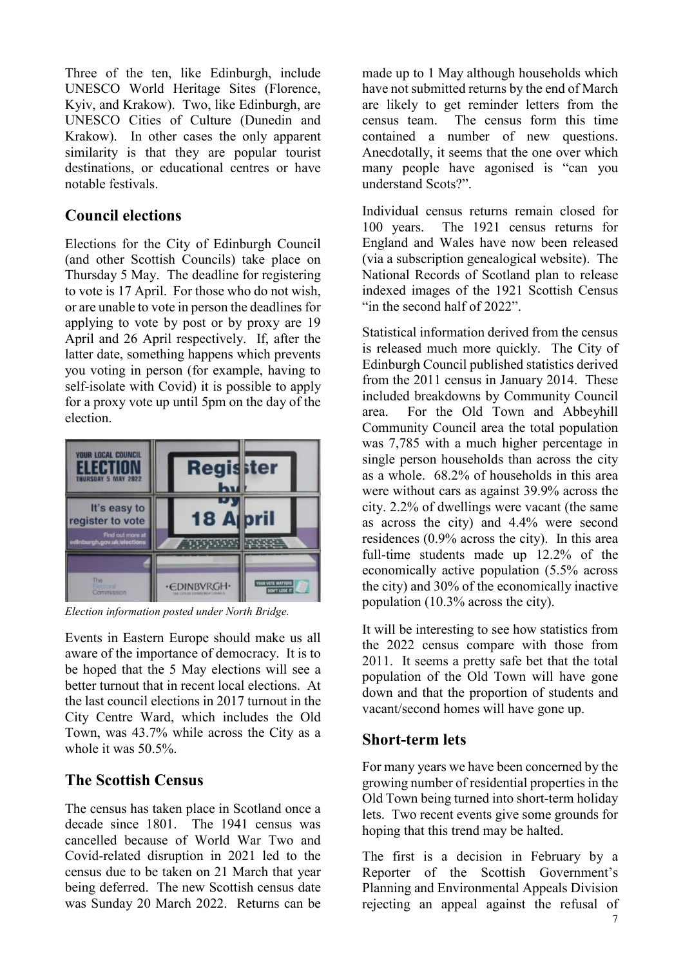Three of the ten, like Edinburgh, include UNESCO World Heritage Sites (Florence, Kyiv, and Krakow). Two, like Edinburgh, are UNESCO Cities of Culture (Dunedin and Krakow). In other cases the only apparent similarity is that they are popular tourist destinations, or educational centres or have notable festivals.

#### **Council elections**

Elections for the City of Edinburgh Council (and other Scottish Councils) take place on Thursday 5 May. The deadline for registering to vote is 17 April. For those who do not wish, or are unable to vote in person the deadlines for applying to vote by post or by proxy are 19 April and 26 April respectively. If, after the latter date, something happens which prevents you voting in person (for example, having to self-isolate with Covid) it is possible to apply for a proxy vote up until 5pm on the day of the election.



*Election information posted under North Bridge.* 

Events in Eastern Europe should make us all aware of the importance of democracy. It is to be hoped that the 5 May elections will see a better turnout that in recent local elections. At the last council elections in 2017 turnout in the City Centre Ward, which includes the Old Town, was 43.7% while across the City as a whole it was 50.5%.

# **The Scottish Census**

The census has taken place in Scotland once a decade since 1801. The 1941 census was cancelled because of World War Two and Covid-related disruption in 2021 led to the census due to be taken on 21 March that year being deferred. The new Scottish census date was Sunday 20 March 2022. Returns can be made up to 1 May although households which have not submitted returns by the end of March are likely to get reminder letters from the census team. The census form this time contained a number of new questions. Anecdotally, it seems that the one over which many people have agonised is "can you understand Scots?".

Individual census returns remain closed for 100 years. The 1921 census returns for England and Wales have now been released (via a subscription genealogical website). The National Records of Scotland plan to release indexed images of the 1921 Scottish Census "in the second half of 2022".

Statistical information derived from the census is released much more quickly. The City of Edinburgh Council published statistics derived from the 2011 census in January 2014. These included breakdowns by Community Council area. For the Old Town and Abbeyhill Community Council area the total population was 7,785 with a much higher percentage in single person households than across the city as a whole. 68.2% of households in this area were without cars as against 39.9% across the city. 2.2% of dwellings were vacant (the same as across the city) and 4.4% were second residences (0.9% across the city). In this area full-time students made up 12.2% of the economically active population (5.5% across the city) and 30% of the economically inactive population (10.3% across the city).

It will be interesting to see how statistics from the 2022 census compare with those from 2011. It seems a pretty safe bet that the total population of the Old Town will have gone down and that the proportion of students and vacant/second homes will have gone up.

## **Short-term lets**

For many years we have been concerned by the growing number of residential properties in the Old Town being turned into short-term holiday lets. Two recent events give some grounds for hoping that this trend may be halted.

The first is a decision in February by a Reporter of the Scottish Government's Planning and Environmental Appeals Division rejecting an appeal against the refusal of